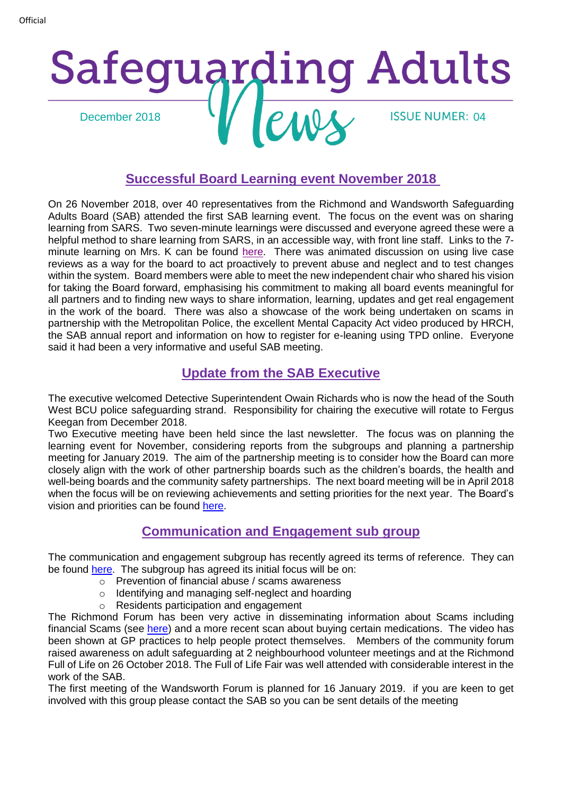# Safeguarding Adults December 2018 **14 December 2018** 14 December 2018

#### **Successful Board Learning event November 2018**

On 26 November 2018, over 40 representatives from the Richmond and Wandsworth Safeguarding Adults Board (SAB) attended the first SAB learning event. The focus on the event was on sharing learning from SARS. Two seven-minute learnings were discussed and everyone agreed these were a helpful method to share learning from SARS, in an accessible way, with front line staff. Links to the 7 minute learning on Mrs. K can be found [here.](https://www.richmond.gov.uk/media/16552/sar_report_mrs_k_november_2018.pdf) There was animated discussion on using live case reviews as a way for the board to act proactively to prevent abuse and neglect and to test changes within the system. Board members were able to meet the new independent chair who shared his vision for taking the Board forward, emphasising his commitment to making all board events meaningful for all partners and to finding new ways to share information, learning, updates and get real engagement in the work of the board. There was also a showcase of the work being undertaken on scams in partnership with the Metropolitan Police, the excellent Mental Capacity Act video produced by HRCH, the SAB annual report and information on how to register for e-leaning using TPD online. Everyone said it had been a very informative and useful SAB meeting.

#### **Update from the SAB Executive**

The executive welcomed Detective Superintendent Owain Richards who is now the head of the South West BCU police safequarding strand. Responsibility for chairing the executive will rotate to Fergus Keegan from December 2018.

Two Executive meeting have been held since the last newsletter. The focus was on planning the learning event for November, considering reports from the subgroups and planning a partnership meeting for January 2019. The aim of the partnership meeting is to consider how the Board can more closely align with the work of other partnership boards such as the children's boards, the health and well-being boards and the community safety partnerships. The next board meeting will be in April 2018 when the focus will be on reviewing achievements and setting priorities for the next year. The Board's vision and priorities can be found [here.](https://www.richmond.gov.uk/council/how_we_work/partnerships/sab/about_the_safeguarding_adults_board)

#### **Communication and Engagement sub group**

The communication and engagement subgroup has recently agreed its terms of reference. They can be found [here.](https://www.richmond.gov.uk/media/16580/community_engagement_subgroup_terms_of_reference.pdf) The subgroup has agreed its initial focus will be on:

- o Prevention of financial abuse / scams awareness
- o Identifying and managing self-neglect and hoarding
- o Residents participation and engagement

The Richmond Forum has been very active in disseminating information about Scams including financial Scams (see [here\)](https://www.youtube.com/embed/DJsPo_Yzl7M) and a more recent scan about buying certain medications. The video has been shown at GP practices to help people protect themselves. Members of the community forum raised awareness on adult safeguarding at 2 neighbourhood volunteer meetings and at the Richmond Full of Life on 26 October 2018. The Full of Life Fair was well attended with considerable interest in the work of the SAB.

The first meeting of the Wandsworth Forum is planned for 16 January 2019. if you are keen to get involved with this group please contact the SAB so you can be sent details of the meeting